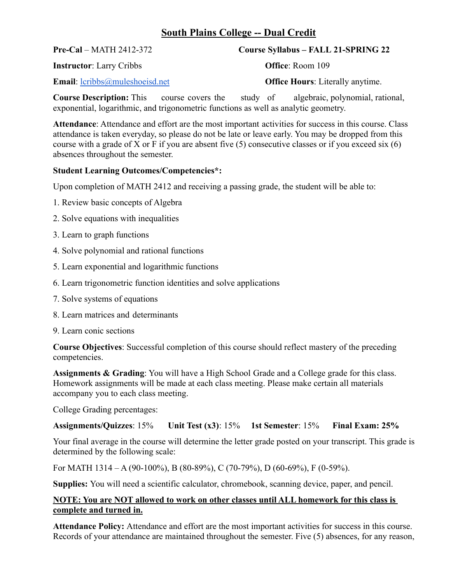# **South Plains College -- Dual Credit**

## **Pre-Cal** – MATH 2412-372 **Course Syllabus – FALL 21-SPRING 22**

**Instructor**: Larry Cribbs **Office**: Room 109

**Email:** [lcribbs@muleshoeisd.net](mailto:lcribbs@muleshoeisd.net) **Office Hours**: Literally anytime.

**Course Description:** This course covers the study of algebraic, polynomial, rational, exponential, logarithmic, and trigonometric functions as well as analytic geometry.

**Attendance**: Attendance and effort are the most important activities for success in this course. Class attendance is taken everyday, so please do not be late or leave early. You may be dropped from this course with a grade of X or F if you are absent five (5) consecutive classes or if you exceed six (6) absences throughout the semester.

#### **Student Learning Outcomes/Competencies\*:**

Upon completion of MATH 2412 and receiving a passing grade, the student will be able to:

- 1. Review basic concepts of Algebra
- 2. Solve equations with inequalities
- 3. Learn to graph functions
- 4. Solve polynomial and rational functions
- 5. Learn exponential and logarithmic functions
- 6. Learn trigonometric function identities and solve applications
- 7. Solve systems of equations
- 8. Learn matrices and determinants
- 9. Learn conic sections

**Course Objectives**: Successful completion of this course should reflect mastery of the preceding competencies.

**Assignments & Grading**: You will have a High School Grade and a College grade for this class. Homework assignments will be made at each class meeting. Please make certain all materials accompany you to each class meeting.

College Grading percentages:

**Assignments/Quizzes**: 15% **Unit Test (x3)**: 15% **1st Semester**: 15% **Final Exam: 25%**

Your final average in the course will determine the letter grade posted on your transcript. This grade is determined by the following scale:

For MATH 1314 – A (90-100%), B (80-89%), C (70-79%), D (60-69%), F (0-59%).

**Supplies:** You will need a scientific calculator, chromebook, scanning device, paper, and pencil.

### **NOTE: You are NOT allowed to work on other classes until ALL homework for this class is complete and turned in.**

**Attendance Policy:** Attendance and effort are the most important activities for success in this course. Records of your attendance are maintained throughout the semester. Five (5) absences, for any reason,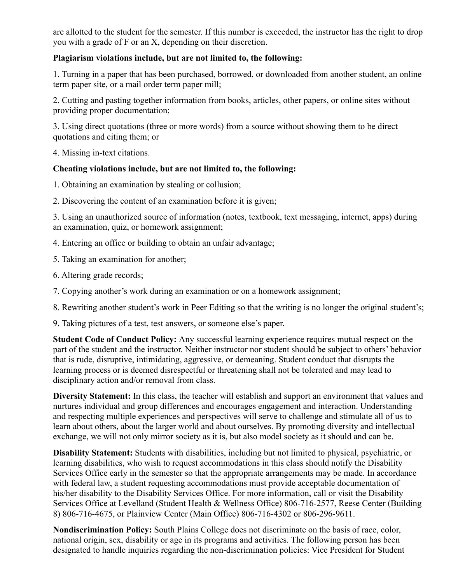are allotted to the student for the semester. If this number is exceeded, the instructor has the right to drop you with a grade of F or an X, depending on their discretion.

### **Plagiarism violations include, but are not limited to, the following:**

1. Turning in a paper that has been purchased, borrowed, or downloaded from another student, an online term paper site, or a mail order term paper mill;

2. Cutting and pasting together information from books, articles, other papers, or online sites without providing proper documentation;

3. Using direct quotations (three or more words) from a source without showing them to be direct quotations and citing them; or

4. Missing in-text citations.

### **Cheating violations include, but are not limited to, the following:**

1. Obtaining an examination by stealing or collusion;

2. Discovering the content of an examination before it is given;

3. Using an unauthorized source of information (notes, textbook, text messaging, internet, apps) during an examination, quiz, or homework assignment;

4. Entering an office or building to obtain an unfair advantage;

5. Taking an examination for another;

6. Altering grade records;

7. Copying another's work during an examination or on a homework assignment;

8. Rewriting another student's work in Peer Editing so that the writing is no longer the original student's;

9. Taking pictures of a test, test answers, or someone else's paper.

**Student Code of Conduct Policy:** Any successful learning experience requires mutual respect on the part of the student and the instructor. Neither instructor nor student should be subject to others' behavior that is rude, disruptive, intimidating, aggressive, or demeaning. Student conduct that disrupts the learning process or is deemed disrespectful or threatening shall not be tolerated and may lead to disciplinary action and/or removal from class.

**Diversity Statement:** In this class, the teacher will establish and support an environment that values and nurtures individual and group differences and encourages engagement and interaction. Understanding and respecting multiple experiences and perspectives will serve to challenge and stimulate all of us to learn about others, about the larger world and about ourselves. By promoting diversity and intellectual exchange, we will not only mirror society as it is, but also model society as it should and can be.

**Disability Statement:** Students with disabilities, including but not limited to physical, psychiatric, or learning disabilities, who wish to request accommodations in this class should notify the Disability Services Office early in the semester so that the appropriate arrangements may be made. In accordance with federal law, a student requesting accommodations must provide acceptable documentation of his/her disability to the Disability Services Office. For more information, call or visit the Disability Services Office at Levelland (Student Health & Wellness Office) 806-716-2577, Reese Center (Building 8) 806-716-4675, or Plainview Center (Main Office) 806-716-4302 or 806-296-9611.

**Nondiscrimination Policy:** South Plains College does not discriminate on the basis of race, color, national origin, sex, disability or age in its programs and activities. The following person has been designated to handle inquiries regarding the non-discrimination policies: Vice President for Student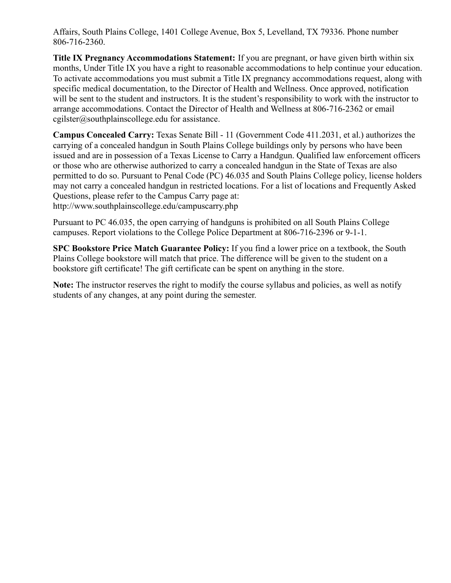Affairs, South Plains College, 1401 College Avenue, Box 5, Levelland, TX 79336. Phone number 806-716-2360.

**Title IX Pregnancy Accommodations Statement:** If you are pregnant, or have given birth within six months, Under Title IX you have a right to reasonable accommodations to help continue your education. To activate accommodations you must submit a Title IX pregnancy accommodations request, along with specific medical documentation, to the Director of Health and Wellness. Once approved, notification will be sent to the student and instructors. It is the student's responsibility to work with the instructor to arrange accommodations. Contact the Director of Health and Wellness at 806-716-2362 or email cgilster@southplainscollege.edu for assistance.

**Campus Concealed Carry:** Texas Senate Bill - 11 (Government Code 411.2031, et al.) authorizes the carrying of a concealed handgun in South Plains College buildings only by persons who have been issued and are in possession of a Texas License to Carry a Handgun. Qualified law enforcement officers or those who are otherwise authorized to carry a concealed handgun in the State of Texas are also permitted to do so. Pursuant to Penal Code (PC) 46.035 and South Plains College policy, license holders may not carry a concealed handgun in restricted locations. For a list of locations and Frequently Asked Questions, please refer to the Campus Carry page at:

http://www.southplainscollege.edu/campuscarry.php

Pursuant to PC 46.035, the open carrying of handguns is prohibited on all South Plains College campuses. Report violations to the College Police Department at 806-716-2396 or 9-1-1.

**SPC Bookstore Price Match Guarantee Policy:** If you find a lower price on a textbook, the South Plains College bookstore will match that price. The difference will be given to the student on a bookstore gift certificate! The gift certificate can be spent on anything in the store.

**Note:** The instructor reserves the right to modify the course syllabus and policies, as well as notify students of any changes, at any point during the semester.